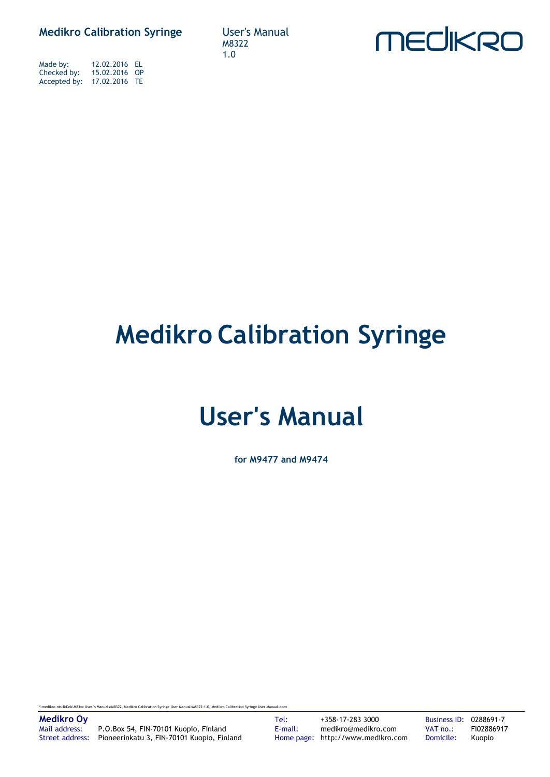**Medikro Calibration Syringe User's Manual** 

Made by: 12.02.2016 EL Checked by: 15.02.2016 OP Accepted by: 17.02.2016 TE

M8322 1.0



## **Medikro Calibration Syringe**

## **User's Manual**

**for M9477 and M9474**

\\medikro-nts-8\Dok\M83xx User´s Manuals\M8322, Medikro Calibration Syringe User Manual\M8322-1.0, Medikro Calibration Syringe User Manual.docx

Mail address: P.O.Box 54, FIN-70101 Kuopio, Finland E-mail: medikro@medikro.com VAT no.: FI02886917 Street address: Pioneerinkatu 3, FIN-70101 Kuopio, Finland Home page: http://www.medikro.com Domicile: Kuopio

**Medikro Oy** Tel: +358-17-283 3000 Business ID: 0288691-7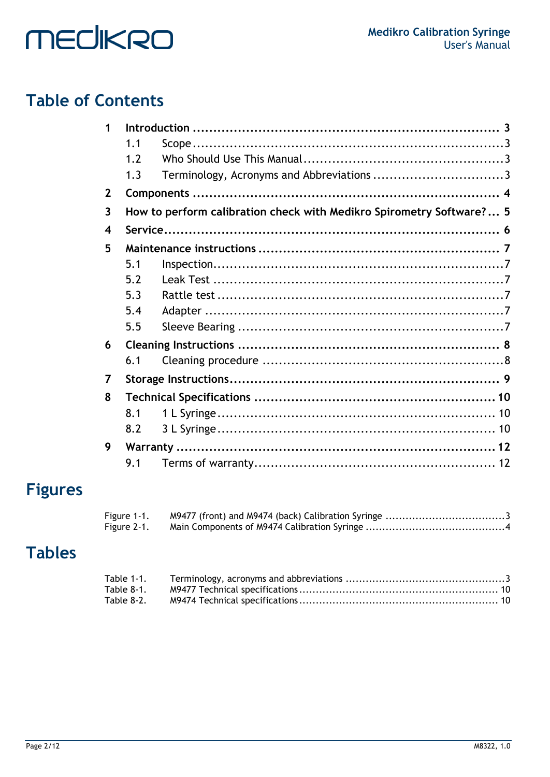## **Table of Contents**

| 1                       |     |                                                                      |  |
|-------------------------|-----|----------------------------------------------------------------------|--|
|                         | 1.1 |                                                                      |  |
|                         | 1.2 |                                                                      |  |
|                         | 1.3 |                                                                      |  |
| $\mathbf{2}$            |     |                                                                      |  |
| $\overline{\mathbf{3}}$ |     | How to perform calibration check with Medikro Spirometry Software? 5 |  |
| $\overline{\mathbf{4}}$ |     |                                                                      |  |
| 5                       |     |                                                                      |  |
|                         | 5.1 |                                                                      |  |
|                         | 5.2 |                                                                      |  |
|                         | 5.3 |                                                                      |  |
|                         | 5.4 |                                                                      |  |
|                         | 5.5 |                                                                      |  |
| 6                       |     |                                                                      |  |
|                         | 6.1 |                                                                      |  |
| 7                       |     |                                                                      |  |
| 8                       |     |                                                                      |  |
|                         | 8.1 |                                                                      |  |
|                         | 8.2 |                                                                      |  |
| 9                       |     |                                                                      |  |
|                         | 9.1 |                                                                      |  |

## **Figures**

| Figure 1-1. |  |
|-------------|--|
| Figure 2-1. |  |

## **Tables**

| Table 8-1. |  |
|------------|--|
| Table 8-2. |  |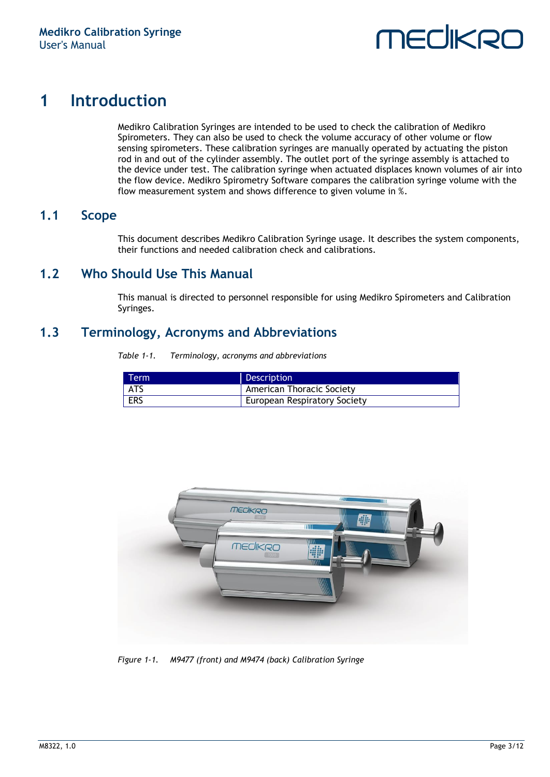

## <span id="page-2-0"></span>**1 Introduction**

Medikro Calibration Syringes are intended to be used to check the calibration of Medikro Spirometers. They can also be used to check the volume accuracy of other volume or flow sensing spirometers. These calibration syringes are manually operated by actuating the piston rod in and out of the cylinder assembly. The outlet port of the syringe assembly is attached to the device under test. The calibration syringe when actuated displaces known volumes of air into the flow device. Medikro Spirometry Software compares the calibration syringe volume with the flow measurement system and shows difference to given volume in %.

#### <span id="page-2-1"></span>**1.1 Scope**

This document describes Medikro Calibration Syringe usage. It describes the system components, their functions and needed calibration check and calibrations.

#### <span id="page-2-2"></span>**1.2 Who Should Use This Manual**

This manual is directed to personnel responsible for using Medikro Spirometers and Calibration Syringes.

#### <span id="page-2-5"></span><span id="page-2-3"></span>**1.3 Terminology, Acronyms and Abbreviations**

*Table 1-1. Terminology, acronyms and abbreviations*

| Term | Description                         |
|------|-------------------------------------|
| ATS  | <b>American Thoracic Society</b>    |
| ERS  | <b>European Respiratory Society</b> |

<span id="page-2-4"></span>

*Figure 1-1. M9477 (front) and M9474 (back) Calibration Syringe*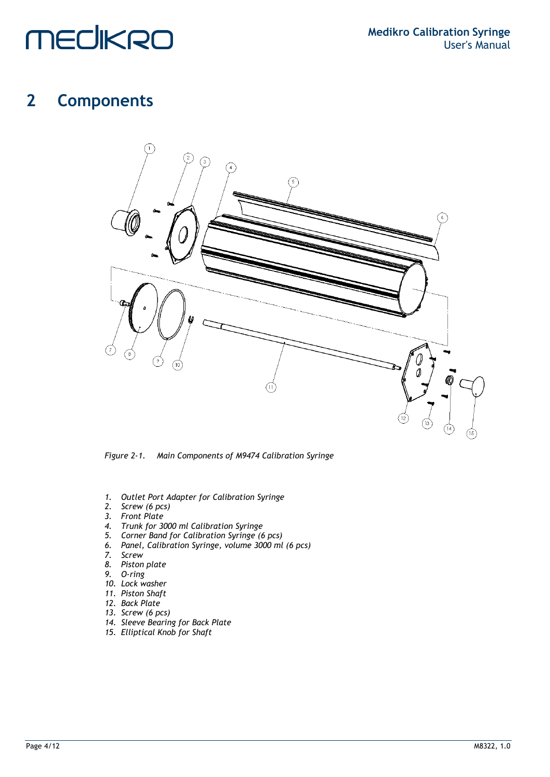### <span id="page-3-0"></span>**2 Components**



*Figure 2-1. Main Components of M9474 Calibration Syringe*

- <span id="page-3-1"></span>*1. Outlet Port Adapter for Calibration Syringe*
- *2. Screw (6 pcs)*
- *3. Front Plate*
- *4. Trunk for 3000 ml Calibration Syringe*
- *5. Corner Band for Calibration Syringe (6 pcs)*
- *6. Panel, Calibration Syringe, volume 3000 ml (6 pcs)*
- *7. Screw*
- *8. Piston plate*
- *9. O-ring*
- *10. Lock washer*
- *11. Piston Shaft*
- *12. Back Plate*
- *13. Screw (6 pcs)*
- *14. Sleeve Bearing for Back Plate*
- *15. Elliptical Knob for Shaft*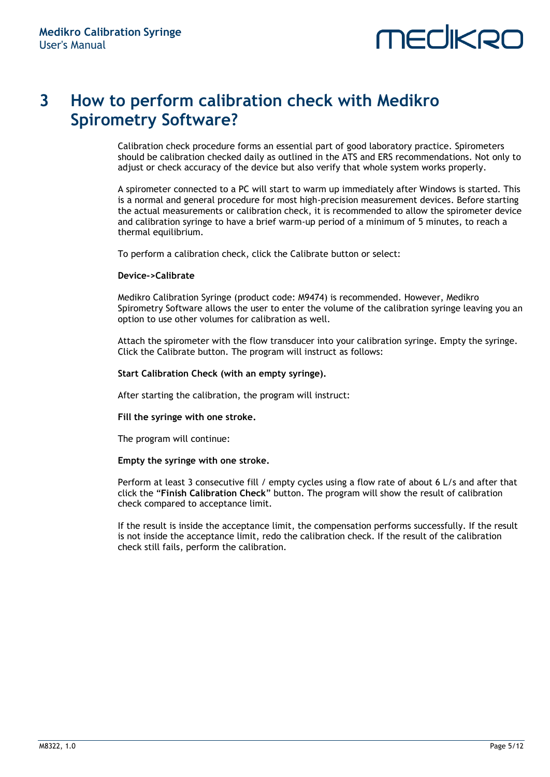### <span id="page-4-0"></span>**3 How to perform calibration check with Medikro Spirometry Software?**

Calibration check procedure forms an essential part of good laboratory practice. Spirometers should be calibration checked daily as outlined in the ATS and ERS recommendations. Not only to adjust or check accuracy of the device but also verify that whole system works properly.

A spirometer connected to a PC will start to warm up immediately after Windows is started. This is a normal and general procedure for most high-precision measurement devices. Before starting the actual measurements or calibration check, it is recommended to allow the spirometer device and calibration syringe to have a brief warm-up period of a minimum of 5 minutes, to reach a thermal equilibrium.

To perform a calibration check, click the Calibrate button or select:

#### **Device->Calibrate**

Medikro Calibration Syringe (product code: M9474) is recommended. However, Medikro Spirometry Software allows the user to enter the volume of the calibration syringe leaving you an option to use other volumes for calibration as well.

Attach the spirometer with the flow transducer into your calibration syringe. Empty the syringe. Click the Calibrate button. The program will instruct as follows:

#### **Start Calibration Check (with an empty syringe).**

After starting the calibration, the program will instruct:

#### **Fill the syringe with one stroke.**

The program will continue:

#### **Empty the syringe with one stroke.**

Perform at least 3 consecutive fill / empty cycles using a flow rate of about 6 L/s and after that click the "**Finish Calibration Check**" button. The program will show the result of calibration check compared to acceptance limit.

If the result is inside the acceptance limit, the compensation performs successfully. If the result is not inside the acceptance limit, redo the calibration check. If the result of the calibration check still fails, perform the calibration.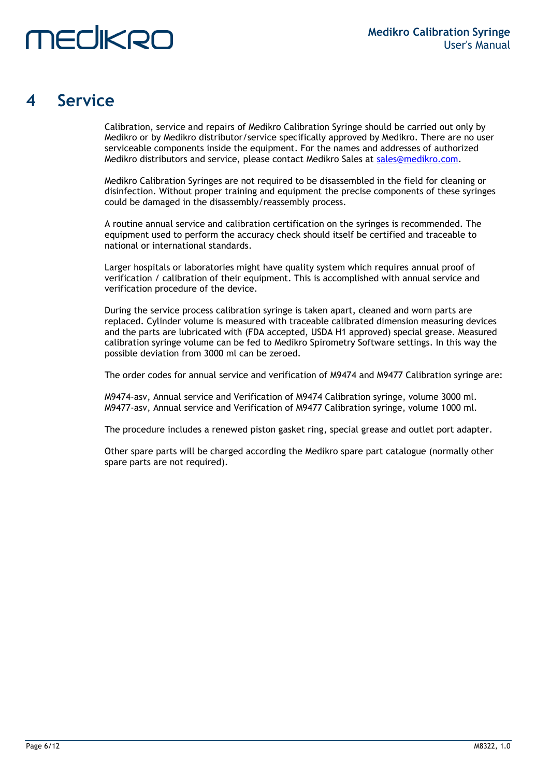# MECIKRI

### <span id="page-5-0"></span>**4 Service**

Calibration, service and repairs of Medikro Calibration Syringe should be carried out only by Medikro or by Medikro distributor/service specifically approved by Medikro. There are no user serviceable components inside the equipment. For the names and addresses of authorized Medikro distributors and service, please contact Medikro Sales at [sales@medikro.com.](file:///D:/Work/Calibration%20Syringe/sales@medikro.com)

Medikro Calibration Syringes are not required to be disassembled in the field for cleaning or disinfection. Without proper training and equipment the precise components of these syringes could be damaged in the disassembly/reassembly process.

A routine annual service and calibration certification on the syringes is recommended. The equipment used to perform the accuracy check should itself be certified and traceable to national or international standards.

Larger hospitals or laboratories might have quality system which requires annual proof of verification / calibration of their equipment. This is accomplished with annual service and verification procedure of the device.

During the service process calibration syringe is taken apart, cleaned and worn parts are replaced. Cylinder volume is measured with traceable calibrated dimension measuring devices and the parts are lubricated with (FDA accepted, USDA H1 approved) special grease. Measured calibration syringe volume can be fed to Medikro Spirometry Software settings. In this way the possible deviation from 3000 ml can be zeroed.

The order codes for annual service and verification of M9474 and M9477 Calibration syringe are:

M9474-asv, Annual service and Verification of M9474 Calibration syringe, volume 3000 ml. M9477-asv, Annual service and Verification of M9477 Calibration syringe, volume 1000 ml.

The procedure includes a renewed piston gasket ring, special grease and outlet port adapter.

Other spare parts will be charged according the Medikro spare part catalogue (normally other spare parts are not required).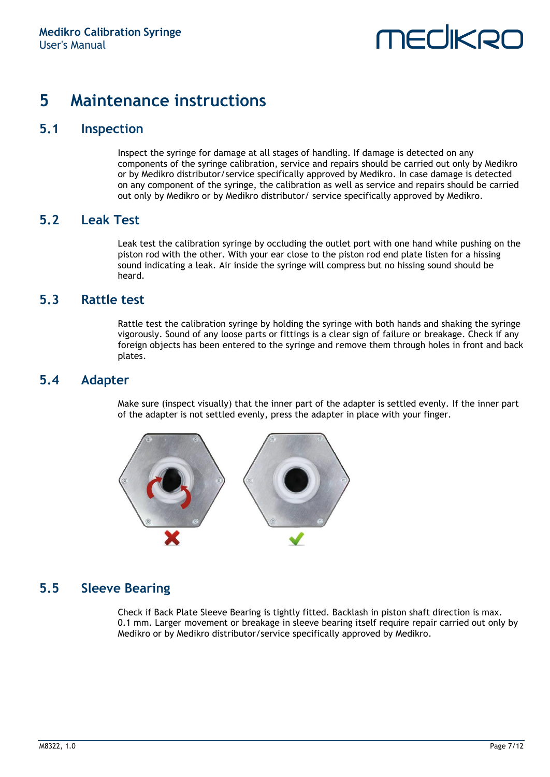### <span id="page-6-0"></span>**5 Maintenance instructions**

### <span id="page-6-1"></span>**5.1 Inspection**

Inspect the syringe for damage at all stages of handling. If damage is detected on any components of the syringe calibration, service and repairs should be carried out only by Medikro or by Medikro distributor/service specifically approved by Medikro. In case damage is detected on any component of the syringe, the calibration as well as service and repairs should be carried out only by Medikro or by Medikro distributor/ service specifically approved by Medikro.

#### <span id="page-6-2"></span>**5.2 Leak Test**

Leak test the calibration syringe by occluding the outlet port with one hand while pushing on the piston rod with the other. With your ear close to the piston rod end plate listen for a hissing sound indicating a leak. Air inside the syringe will compress but no hissing sound should be heard.

#### <span id="page-6-3"></span>**5.3 Rattle test**

Rattle test the calibration syringe by holding the syringe with both hands and shaking the syringe vigorously. Sound of any loose parts or fittings is a clear sign of failure or breakage. Check if any foreign objects has been entered to the syringe and remove them through holes in front and back plates.

### <span id="page-6-4"></span>**5.4 Adapter**

Make sure (inspect visually) that the inner part of the adapter is settled evenly. If the inner part of the adapter is not settled evenly, press the adapter in place with your finger.



### <span id="page-6-5"></span>**5.5 Sleeve Bearing**

Check if Back Plate Sleeve Bearing is tightly fitted. Backlash in piston shaft direction is max. 0.1 mm. Larger movement or breakage in sleeve bearing itself require repair carried out only by Medikro or by Medikro distributor/service specifically approved by Medikro.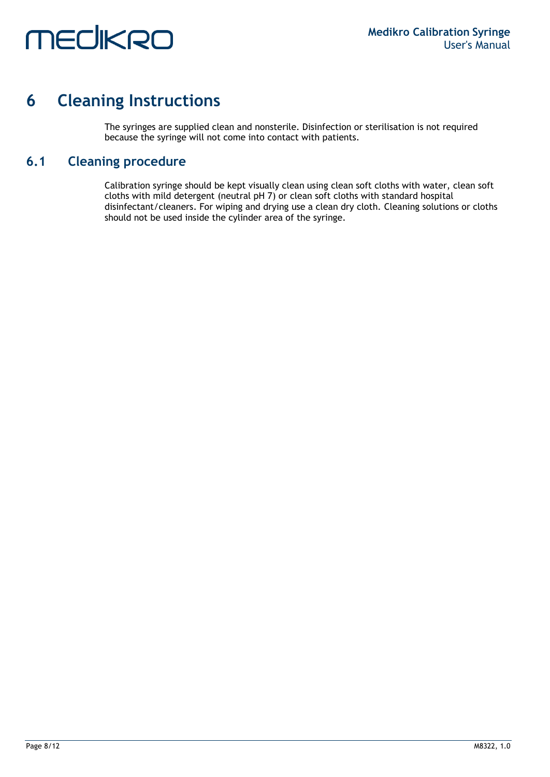### <span id="page-7-0"></span>**6 Cleaning Instructions**

The syringes are supplied clean and nonsterile. Disinfection or sterilisation is not required because the syringe will not come into contact with patients.

### <span id="page-7-1"></span>**6.1 Cleaning procedure**

Calibration syringe should be kept visually clean using clean soft cloths with water, clean soft cloths with mild detergent (neutral pH 7) or clean soft cloths with standard hospital disinfectant/cleaners. For wiping and drying use a clean dry cloth. Cleaning solutions or cloths should not be used inside the cylinder area of the syringe.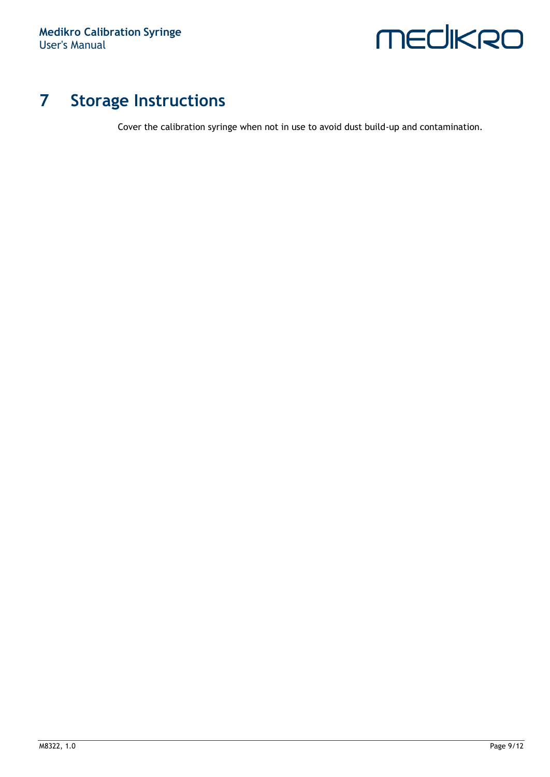

## <span id="page-8-0"></span>**7 Storage Instructions**

Cover the calibration syringe when not in use to avoid dust build-up and contamination.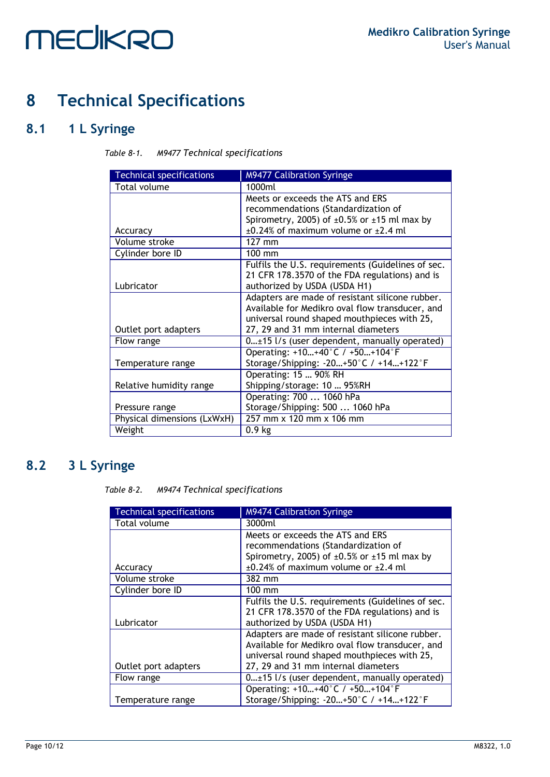## <span id="page-9-0"></span>**8 Technical Specifications**

### <span id="page-9-3"></span><span id="page-9-1"></span>**8.1 1 L Syringe**

| Table 8-1. | <b>M9477 Technical specifications</b> |  |
|------------|---------------------------------------|--|
|            |                                       |  |

| <b>Technical specifications</b> | <b>M9477 Calibration Syringe</b>                       |
|---------------------------------|--------------------------------------------------------|
| Total volume                    | 1000ml                                                 |
|                                 | Meets or exceeds the ATS and ERS                       |
|                                 | recommendations (Standardization of                    |
|                                 | Spirometry, 2005) of $\pm 0.5\%$ or $\pm 15$ ml max by |
| Accuracy                        | $\pm$ 0.24% of maximum volume or $\pm$ 2.4 ml          |
| Volume stroke                   | $127$ mm                                               |
| Cylinder bore ID                | 100 mm                                                 |
|                                 | Fulfils the U.S. requirements (Guidelines of sec.      |
|                                 | 21 CFR 178.3570 of the FDA regulations) and is         |
| Lubricator                      | authorized by USDA (USDA H1)                           |
|                                 | Adapters are made of resistant silicone rubber.        |
|                                 | Available for Medikro oval flow transducer, and        |
|                                 | universal round shaped mouthpieces with 25,            |
| Outlet port adapters            | 27, 29 and 31 mm internal diameters                    |
| Flow range                      | $0 \pm 15$ l/s (user dependent, manually operated)     |
|                                 | Operating: +10+40°C / +50+104°F                        |
| Temperature range               | Storage/Shipping: -20+50°C / +14+122°F                 |
|                                 | Operating: 15  90% RH                                  |
| Relative humidity range         | Shipping/storage: 10  95%RH                            |
|                                 | Operating: 700  1060 hPa                               |
| Pressure range                  | Storage/Shipping: 500  1060 hPa                        |
| Physical dimensions (LxWxH)     | 257 mm x 120 mm x 106 mm                               |
| Weight                          | 0.9 <sub>kg</sub>                                      |

### <span id="page-9-4"></span><span id="page-9-2"></span>**8.2 3 L Syringe**

*Table 8-2. M9474 Technical specifications*

| <b>Technical specifications</b> | <b>M9474 Calibration Syringe</b>                       |
|---------------------------------|--------------------------------------------------------|
| Total volume                    | 3000ml                                                 |
|                                 | Meets or exceeds the ATS and ERS                       |
|                                 | recommendations (Standardization of                    |
|                                 | Spirometry, 2005) of $\pm 0.5\%$ or $\pm 15$ ml max by |
| Accuracy                        | $\pm 0.24\%$ of maximum volume or $\pm 2.4$ ml         |
| Volume stroke                   | 382 mm                                                 |
| Cylinder bore ID                | 100 mm                                                 |
|                                 | Fulfils the U.S. requirements (Guidelines of sec.      |
|                                 | 21 CFR 178.3570 of the FDA regulations) and is         |
| Lubricator                      | authorized by USDA (USDA H1)                           |
|                                 | Adapters are made of resistant silicone rubber.        |
|                                 | Available for Medikro oval flow transducer, and        |
|                                 | universal round shaped mouthpieces with 25,            |
| Outlet port adapters            | 27, 29 and 31 mm internal diameters                    |
| Flow range                      | $0+15$ l/s (user dependent, manually operated)         |
|                                 | Operating: +10+40°C / +50+104°F                        |
| Temperature range               | Storage/Shipping: -20+50°C / +14+122°F                 |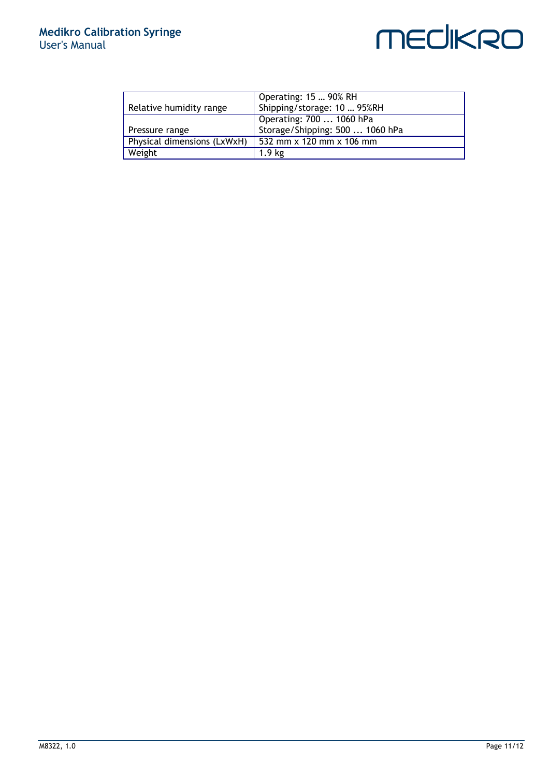#### **Medikro Calibration Syringe** User's Manual

## **MECIKRO**

|                             | Operating: 15  90% RH           |
|-----------------------------|---------------------------------|
| Relative humidity range     | Shipping/storage: 10  95%RH     |
|                             | Operating: 700  1060 hPa        |
| Pressure range              | Storage/Shipping: 500  1060 hPa |
| Physical dimensions (LxWxH) | 532 mm x 120 mm x 106 mm        |
| Weight                      | 1.9 <sub>kg</sub>               |